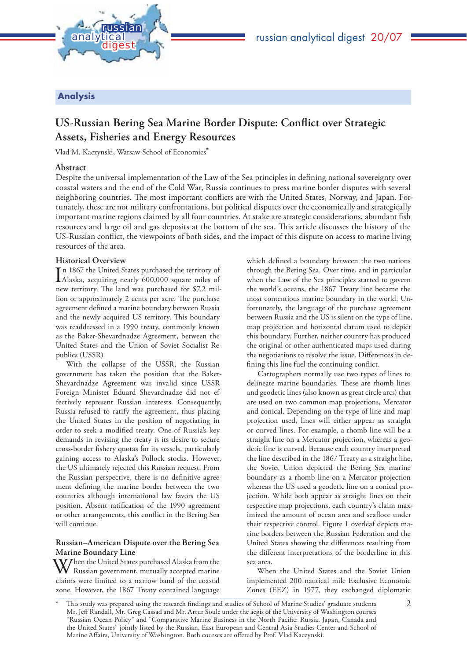



# **Analysis**

# **US-Russian Bering Sea Marine Border Dispute: Conflict over Strategic Assets, Fisheries and Energy Resources**

Vlad M. Kaczynski, Warsaw School of Economics**\***

# **Abstract**

Despite the universal implementation of the Law of the Sea principles in defining national sovereignty over coastal waters and the end of the Cold War, Russia continues to press marine border disputes with several neighboring countries. The most important conflicts are with the United States, Norway, and Japan. Fortunately, these are not military confrontations, but political disputes over the economically and strategically important marine regions claimed by all four countries. At stake are strategic considerations, abundant fish resources and large oil and gas deposits at the bottom of the sea. This article discusses the history of the US-Russian conflict, the viewpoints of both sides, and the impact of this dispute on access to marine living resources of the area.

# **Historical Overview**

In 1867 the United States purchased the territory of<br>Alaska, acquiring nearly 600,000 square miles of Alaska, acquiring nearly 600,000 square miles of new territory. The land was purchased for \$7.2 million or approximately 2 cents per acre. The purchase agreement defined a marine boundary between Russia and the newly acquired US territory. This boundary was readdressed in a 1990 treaty, commonly known as the Baker-Shevardnadze Agreement, between the United States and the Union of Soviet Socialist Republics (USSR).

With the collapse of the USSR, the Russian government has taken the position that the Baker-Shevardnadze Agreement was invalid since USSR Foreign Minister Eduard Shevardnadze did not effectively represent Russian interests. Consequently, Russia refused to ratify the agreement, thus placing the United States in the position of negotiating in order to seek a modified treaty. One of Russia's key demands in revising the treaty is its desire to secure cross-border fishery quotas for its vessels, particularly gaining access to Alaska's Pollock stocks. However, the US ultimately rejected this Russian request. From the Russian perspective, there is no definitive agreement defining the marine border between the two countries although international law favors the US position. Absent ratification of the 1990 agreement or other arrangements, this conflict in the Bering Sea will continue.

## **Russian–American Dispute over the Bering Sea Marine Boundary Line**

Then the United States purchased Alaska from the Russian government, mutually accepted marine claims were limited to a narrow band of the coastal zone. However, the 1867 Treaty contained language which defined a boundary between the two nations through the Bering Sea. Over time, and in particular when the Law of the Sea principles started to govern the world's oceans, the 1867 Treaty line became the most contentious marine boundary in the world. Unfortunately, the language of the purchase agreement between Russia and the US is silent on the type of line, map projection and horizontal datum used to depict this boundary. Further, neither country has produced the original or other authenticated maps used during the negotiations to resolve the issue. Differences in defining this line fuel the continuing conflict.

Cartographers normally use two types of lines to delineate marine boundaries. These are rhomb lines and geodetic lines (also known as great circle arcs) that are used on two common map projections, Mercator and conical. Depending on the type of line and map projection used, lines will either appear as straight or curved lines. For example, a rhomb line will be a straight line on a Mercator projection, whereas a geodetic line is curved. Because each country interpreted the line described in the 1867 Treaty as a straight line, the Soviet Union depicted the Bering Sea marine boundary as a rhomb line on a Mercator projection whereas the US used a geodetic line on a conical projection. While both appear as straight lines on their respective map projections, each country's claim maximized the amount of ocean area and seafloor under their respective control. Figure 1 overleaf depicts marine borders between the Russian Federation and the United States showing the differences resulting from the different interpretations of the borderline in this sea area.

When the United States and the Soviet Union implemented 200 nautical mile Exclusive Economic Zones (EEZ) in 1977, they exchanged diplomatic

This study was prepared using the research findings and studies of School of Marine Studies' graduate students Mr. Jeff Randall, Mr. Greg Cassad and Mr. Artur Soule under the aegis of the University of Washington courses "Russian Ocean Policy" and "Comparative Marine Business in the North Pacific: Russia, Japan, Canada and the United States" jointly listed by the Russian, East European and Central Asia Studies Center and School of Marine Affairs, University of Washington. Both courses are offered by Prof. Vlad Kaczynski.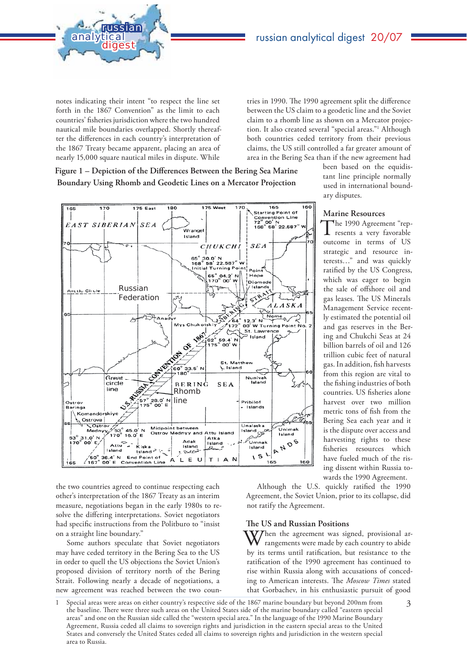

analytic

russian

tries in 1990. The 1990 agreement split the difference between the US claim to a geodetic line and the Soviet claim to a rhomb line as shown on a Mercator projection. It also created several "special areas."1 Although both countries ceded territory from their previous claims, the US still controlled a far greater amount of area in the Bering Sea than if the new agreement had

Figure 1 – Depiction of the Differences Between the Bering Sea Marine  **Boundary Using Rhomb and Geodetic Lines on a Mercator Projection**



the two countries agreed to continue respecting each other's interpretation of the 1867 Treaty as an interim measure, negotiations began in the early 1980s to resolve the differing interpretations. Soviet negotiators had specific instructions from the Politburo to "insist on a straight line boundary."

Some authors speculate that Soviet negotiators may have ceded territory in the Bering Sea to the US in order to quell the US objections the Soviet Union's proposed division of territory north of the Bering Strait. Following nearly a decade of negotiations, a new agreement was reached between the two counbeen based on the equidistant line principle normally used in international boundary disputes.

## **Marine Resources**

The 1990 Agreement "rep-resents a very favorable outcome in terms of US strategic and resource interests…" and was quickly ratified by the US Congress, which was eager to begin the sale of offshore oil and gas leases. The US Minerals Management Service recently estimated the potential oil and gas reserves in the Bering and Chukchi Seas at 24 billion barrels of oil and 126 trillion cubic feet of natural gas. In addition, fish harvests from this region are vital to the fishing industries of both countries. US fisheries alone harvest over two million metric tons of fish from the Bering Sea each year and it is the dispute over access and harvesting rights to these fisheries resources which have fueled much of the rising dissent within Russia towards the 1990 Agreement.

Although the U.S. quickly ratified the 1990 Agreement, the Soviet Union, prior to its collapse, did not ratify the Agreement.

#### **The US and Russian Positions**

Then the agreement was signed, provisional arrangements were made by each country to abide by its terms until ratification, but resistance to the ratification of the 1990 agreement has continued to rise within Russia along with accusations of conceding to American interests. The *Moscow Times* stated that Gorbachev, in his enthusiastic pursuit of good

<sup>1</sup> Special areas were areas on either country's respective side of the 1867 marine boundary but beyond 200nm from the baseline. There were three such areas on the United States side of the marine boundary called "eastern special areas" and one on the Russian side called the "western special area." In the language of the 1990 Marine Boundary Agreement, Russia ceded all claims to sovereign rights and jurisdiction in the eastern special areas to the United States and conversely the United States ceded all claims to sovereign rights and jurisdiction in the western special area to Russia.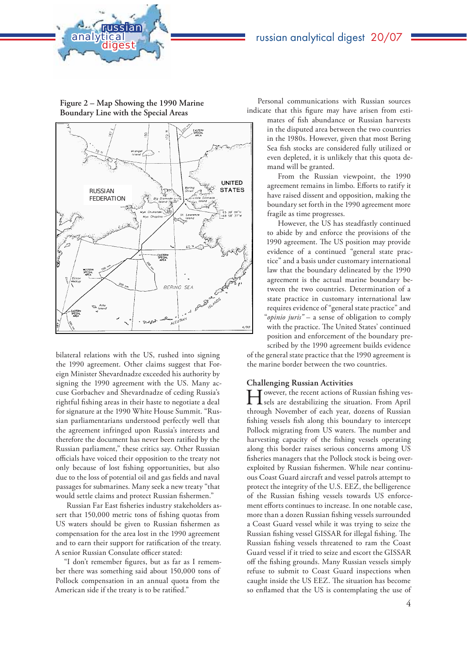



**Figure 2 – Map Showing the 1990 Marine Boundary Line with the Special Areas**



bilateral relations with the US, rushed into signing the 1990 agreement. Other claims suggest that Foreign Minister Shevardnadze exceeded his authority by signing the 1990 agreement with the US. Many accuse Gorbachev and Shevardnadze of ceding Russia's rightful fishing areas in their haste to negotiate a deal for signature at the 1990 White House Summit. "Russian parliamentarians understood perfectly well that the agreement infringed upon Russia's interests and therefore the document has never been ratified by the Russian parliament," these critics say. Other Russian officials have voiced their opposition to the treaty not only because of lost fishing opportunities, but also due to the loss of potential oil and gas fields and naval passages for submarines. Many seek a new treaty "that would settle claims and protect Russian fishermen."

Russian Far East fisheries industry stakeholders assert that 150,000 metric tons of fishing quotas from US waters should be given to Russian fishermen as compensation for the area lost in the 1990 agreement and to earn their support for ratification of the treaty. A senior Russian Consulate officer stated:

"I don't remember figures, but as far as I remember there was something said about 150,000 tons of Pollock compensation in an annual quota from the American side if the treaty is to be ratified."

Personal communications with Russian sources indicate that this figure may have arisen from esti-

mates of fish abundance or Russian harvests in the disputed area between the two countries in the 1980s. However, given that most Bering Sea fish stocks are considered fully utilized or even depleted, it is unlikely that this quota demand will be granted.

From the Russian viewpoint, the 1990 agreement remains in limbo. Efforts to ratify it have raised dissent and opposition, making the boundary set forth in the 1990 agreement more fragile as time progresses.

However, the US has steadfastly continued to abide by and enforce the provisions of the 1990 agreement. The US position may provide evidence of a continued "general state practice" and a basis under customary international law that the boundary delineated by the 1990 agreement is the actual marine boundary between the two countries. Determination of a state practice in customary international law requires evidence of "general state practice" and "*opinio juris"* – a sense of obligation to comply with the practice. The United States' continued position and enforcement of the boundary prescribed by the 1990 agreement builds evidence

of the general state practice that the 1990 agreement is the marine border between the two countries.

## **Challenging Russian Activities**

Towever, the recent actions of Russian fishing ves-**L** sels are destabilizing the situation. From April through November of each year, dozens of Russian fishing vessels fish along this boundary to intercept Pollock migrating from US waters. The number and harvesting capacity of the fishing vessels operating along this border raises serious concerns among US fisheries managers that the Pollock stock is being overexploited by Russian fishermen. While near continuous Coast Guard aircraft and vessel patrols attempt to protect the integrity of the U.S. EEZ, the belligerence of the Russian fishing vessels towards US enforcement efforts continues to increase. In one notable case, more than a dozen Russian fishing vessels surrounded a Coast Guard vessel while it was trying to seize the Russian fishing vessel GISSAR for illegal fishing. The Russian fishing vessels threatened to ram the Coast Guard vessel if it tried to seize and escort the GISSAR off the fishing grounds. Many Russian vessels simply refuse to submit to Coast Guard inspections when caught inside the US EEZ. The situation has become so enflamed that the US is contemplating the use of